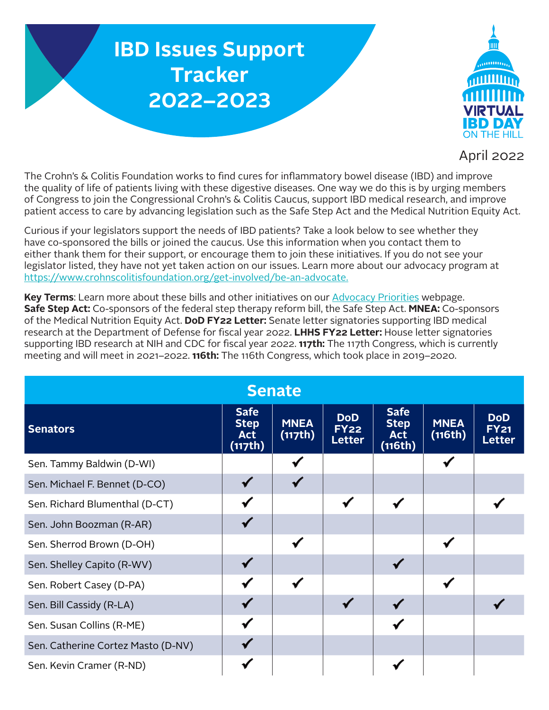## **IBD Issues Support Tracker 2022–2023**



## April 2022

The Crohn's & Colitis Foundation works to find cures for inflammatory bowel disease (IBD) and improve the quality of life of patients living with these digestive diseases. One way we do this is by urging members of Congress to join the Congressional Crohn's & Colitis Caucus, support IBD medical research, and improve patient access to care by advancing legislation such as the Safe Step Act and the Medical Nutrition Equity Act.

Curious if your legislators support the needs of IBD patients? Take a look below to see whether they have co-sponsored the bills or joined the caucus. Use this information when you contact them to either thank them for their support, or encourage them to join these initiatives. If you do not see your legislator listed, they have not yet taken action on our issues. Learn more about our advocacy program at <https://www.crohnscolitisfoundation.org/get-involved/be-an-advocate>.

**Key Terms**: Learn more about these bills and other initiatives on our [Advocacy Priorities](https://www.crohnscolitisfoundation.org/get-involved/be-an-advocate/advocacy-priorities) webpage. **Safe Step Act:** Co-sponsors of the federal step therapy reform bill, the Safe Step Act. **MNEA:** Co-sponsors of the Medical Nutrition Equity Act. **DoD FY22 Letter:** Senate letter signatories supporting IBD medical research at the Department of Defense for fiscal year 2022. **LHHS FY22 Letter:** House letter signatories supporting IBD research at NIH and CDC for fiscal year 2022. **117th:** The 117th Congress, which is currently meeting and will meet in 2021–2022. **116th:** The 116th Congress, which took place in 2019–2020.

| <b>Senate</b>                      |                                                     |                        |                                            |                                                     |                        |                                            |  |  |  |  |  |
|------------------------------------|-----------------------------------------------------|------------------------|--------------------------------------------|-----------------------------------------------------|------------------------|--------------------------------------------|--|--|--|--|--|
| <b>Senators</b>                    | <b>Safe</b><br><b>Step</b><br><b>Act</b><br>(117th) | <b>MNEA</b><br>(117th) | <b>DoD</b><br><b>FY22</b><br><b>Letter</b> | <b>Safe</b><br><b>Step</b><br><b>Act</b><br>(116th) | <b>MNEA</b><br>(116th) | <b>DoD</b><br><b>FY21</b><br><b>Letter</b> |  |  |  |  |  |
| Sen. Tammy Baldwin (D-WI)          |                                                     |                        |                                            |                                                     |                        |                                            |  |  |  |  |  |
| Sen. Michael F. Bennet (D-CO)      |                                                     |                        |                                            |                                                     |                        |                                            |  |  |  |  |  |
| Sen. Richard Blumenthal (D-CT)     |                                                     |                        |                                            |                                                     |                        |                                            |  |  |  |  |  |
| Sen. John Boozman (R-AR)           |                                                     |                        |                                            |                                                     |                        |                                            |  |  |  |  |  |
| Sen. Sherrod Brown (D-OH)          |                                                     |                        |                                            |                                                     |                        |                                            |  |  |  |  |  |
| Sen. Shelley Capito (R-WV)         |                                                     |                        |                                            |                                                     |                        |                                            |  |  |  |  |  |
| Sen. Robert Casey (D-PA)           |                                                     |                        |                                            |                                                     |                        |                                            |  |  |  |  |  |
| Sen. Bill Cassidy (R-LA)           |                                                     |                        |                                            |                                                     |                        |                                            |  |  |  |  |  |
| Sen. Susan Collins (R-ME)          |                                                     |                        |                                            |                                                     |                        |                                            |  |  |  |  |  |
| Sen. Catherine Cortez Masto (D-NV) |                                                     |                        |                                            |                                                     |                        |                                            |  |  |  |  |  |
| Sen. Kevin Cramer (R-ND)           |                                                     |                        |                                            |                                                     |                        |                                            |  |  |  |  |  |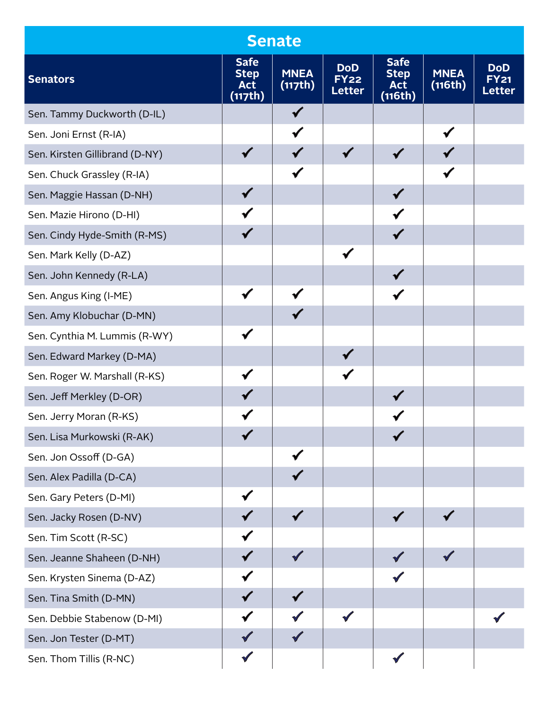|                                |                                                     | <b>Senate</b>          |                                            |                                                     |                        |                                            |
|--------------------------------|-----------------------------------------------------|------------------------|--------------------------------------------|-----------------------------------------------------|------------------------|--------------------------------------------|
| <b>Senators</b>                | <b>Safe</b><br><b>Step</b><br><b>Act</b><br>(117th) | <b>MNEA</b><br>(117th) | <b>DoD</b><br><b>FY22</b><br><b>Letter</b> | <b>Safe</b><br><b>Step</b><br><b>Act</b><br>(116th) | <b>MNEA</b><br>(116th) | <b>DoD</b><br><b>FY21</b><br><b>Letter</b> |
| Sen. Tammy Duckworth (D-IL)    |                                                     |                        |                                            |                                                     |                        |                                            |
| Sen. Joni Ernst (R-IA)         |                                                     |                        |                                            |                                                     |                        |                                            |
| Sen. Kirsten Gillibrand (D-NY) |                                                     |                        |                                            |                                                     |                        |                                            |
| Sen. Chuck Grassley (R-IA)     |                                                     |                        |                                            |                                                     |                        |                                            |
| Sen. Maggie Hassan (D-NH)      |                                                     |                        |                                            |                                                     |                        |                                            |
| Sen. Mazie Hirono (D-HI)       |                                                     |                        |                                            |                                                     |                        |                                            |
| Sen. Cindy Hyde-Smith (R-MS)   |                                                     |                        |                                            |                                                     |                        |                                            |
| Sen. Mark Kelly (D-AZ)         |                                                     |                        |                                            |                                                     |                        |                                            |
| Sen. John Kennedy (R-LA)       |                                                     |                        |                                            |                                                     |                        |                                            |
| Sen. Angus King (I-ME)         |                                                     |                        |                                            |                                                     |                        |                                            |
| Sen. Amy Klobuchar (D-MN)      |                                                     |                        |                                            |                                                     |                        |                                            |
| Sen. Cynthia M. Lummis (R-WY)  |                                                     |                        |                                            |                                                     |                        |                                            |
| Sen. Edward Markey (D-MA)      |                                                     |                        |                                            |                                                     |                        |                                            |
| Sen. Roger W. Marshall (R-KS)  |                                                     |                        |                                            |                                                     |                        |                                            |
| Sen. Jeff Merkley (D-OR)       |                                                     |                        |                                            |                                                     |                        |                                            |
| Sen. Jerry Moran (R-KS)        |                                                     |                        |                                            |                                                     |                        |                                            |
| Sen. Lisa Murkowski (R-AK)     |                                                     |                        |                                            |                                                     |                        |                                            |
| Sen. Jon Ossoff (D-GA)         |                                                     |                        |                                            |                                                     |                        |                                            |
| Sen. Alex Padilla (D-CA)       |                                                     |                        |                                            |                                                     |                        |                                            |
| Sen. Gary Peters (D-MI)        |                                                     |                        |                                            |                                                     |                        |                                            |
| Sen. Jacky Rosen (D-NV)        |                                                     |                        |                                            |                                                     |                        |                                            |
| Sen. Tim Scott (R-SC)          |                                                     |                        |                                            |                                                     |                        |                                            |
| Sen. Jeanne Shaheen (D-NH)     |                                                     |                        |                                            |                                                     |                        |                                            |
| Sen. Krysten Sinema (D-AZ)     |                                                     |                        |                                            |                                                     |                        |                                            |
| Sen. Tina Smith (D-MN)         |                                                     |                        |                                            |                                                     |                        |                                            |
| Sen. Debbie Stabenow (D-MI)    |                                                     |                        |                                            |                                                     |                        |                                            |
| Sen. Jon Tester (D-MT)         |                                                     |                        |                                            |                                                     |                        |                                            |
| Sen. Thom Tillis (R-NC)        |                                                     |                        |                                            |                                                     |                        |                                            |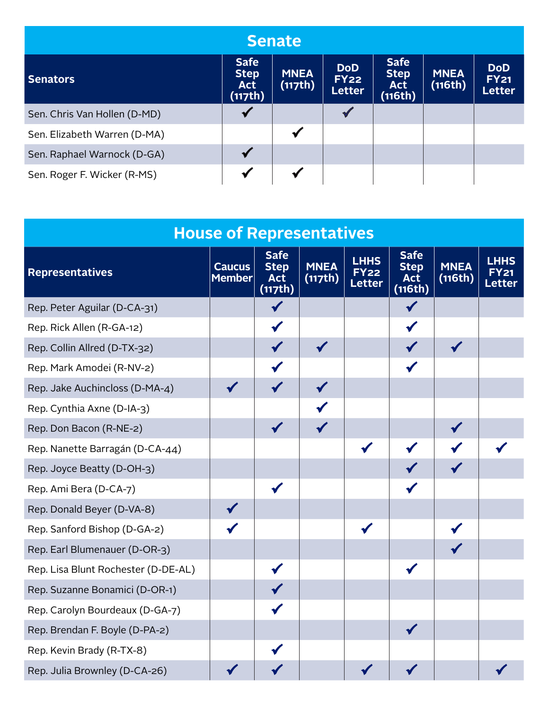| <b>Senate</b>                |                                                     |                        |                                            |                                                     |                        |                                     |  |  |  |  |  |
|------------------------------|-----------------------------------------------------|------------------------|--------------------------------------------|-----------------------------------------------------|------------------------|-------------------------------------|--|--|--|--|--|
| <b>Senators</b>              | <b>Safe</b><br><b>Step</b><br><b>Act</b><br>(117th) | <b>MNEA</b><br>(117th) | <b>DoD</b><br><b>FY22</b><br><b>Letter</b> | <b>Safe</b><br><b>Step</b><br><b>Act</b><br>(116th) | <b>MNEA</b><br>(116th) | <b>DoD</b><br><b>FY21</b><br>Letter |  |  |  |  |  |
| Sen. Chris Van Hollen (D-MD) |                                                     |                        |                                            |                                                     |                        |                                     |  |  |  |  |  |
| Sen. Elizabeth Warren (D-MA) |                                                     |                        |                                            |                                                     |                        |                                     |  |  |  |  |  |
| Sen. Raphael Warnock (D-GA)  |                                                     |                        |                                            |                                                     |                        |                                     |  |  |  |  |  |
| Sen. Roger F. Wicker (R-MS)  |                                                     |                        |                                            |                                                     |                        |                                     |  |  |  |  |  |

|                                     | <b>House of Representatives</b> |                                                     |                        |                                             |                                                     |                        |                       |
|-------------------------------------|---------------------------------|-----------------------------------------------------|------------------------|---------------------------------------------|-----------------------------------------------------|------------------------|-----------------------|
| <b>Representatives</b>              | <b>Caucus</b><br><b>Member</b>  | <b>Safe</b><br><b>Step</b><br><b>Act</b><br>(117th) | <b>MNEA</b><br>(117th) | <b>LHHS</b><br><b>FY22</b><br><b>Letter</b> | <b>Safe</b><br><b>Step</b><br><b>Act</b><br>(116th) | <b>MNEA</b><br>(116th) | <b>LHHS</b><br>Letter |
| Rep. Peter Aguilar (D-CA-31)        |                                 |                                                     |                        |                                             |                                                     |                        |                       |
| Rep. Rick Allen (R-GA-12)           |                                 |                                                     |                        |                                             |                                                     |                        |                       |
| Rep. Collin Allred (D-TX-32)        |                                 |                                                     |                        |                                             |                                                     |                        |                       |
| Rep. Mark Amodei (R-NV-2)           |                                 |                                                     |                        |                                             |                                                     |                        |                       |
| Rep. Jake Auchincloss (D-MA-4)      |                                 |                                                     |                        |                                             |                                                     |                        |                       |
| Rep. Cynthia Axne (D-IA-3)          |                                 |                                                     |                        |                                             |                                                     |                        |                       |
| Rep. Don Bacon (R-NE-2)             |                                 |                                                     |                        |                                             |                                                     |                        |                       |
| Rep. Nanette Barragán (D-CA-44)     |                                 |                                                     |                        |                                             |                                                     |                        |                       |
| Rep. Joyce Beatty (D-OH-3)          |                                 |                                                     |                        |                                             |                                                     |                        |                       |
| Rep. Ami Bera (D-CA-7)              |                                 |                                                     |                        |                                             |                                                     |                        |                       |
| Rep. Donald Beyer (D-VA-8)          |                                 |                                                     |                        |                                             |                                                     |                        |                       |
| Rep. Sanford Bishop (D-GA-2)        |                                 |                                                     |                        |                                             |                                                     |                        |                       |
| Rep. Earl Blumenauer (D-OR-3)       |                                 |                                                     |                        |                                             |                                                     |                        |                       |
| Rep. Lisa Blunt Rochester (D-DE-AL) |                                 |                                                     |                        |                                             |                                                     |                        |                       |
| Rep. Suzanne Bonamici (D-OR-1)      |                                 |                                                     |                        |                                             |                                                     |                        |                       |
| Rep. Carolyn Bourdeaux (D-GA-7)     |                                 |                                                     |                        |                                             |                                                     |                        |                       |
| Rep. Brendan F. Boyle (D-PA-2)      |                                 |                                                     |                        |                                             |                                                     |                        |                       |
| Rep. Kevin Brady (R-TX-8)           |                                 |                                                     |                        |                                             |                                                     |                        |                       |
| Rep. Julia Brownley (D-CA-26)       |                                 |                                                     |                        |                                             |                                                     |                        |                       |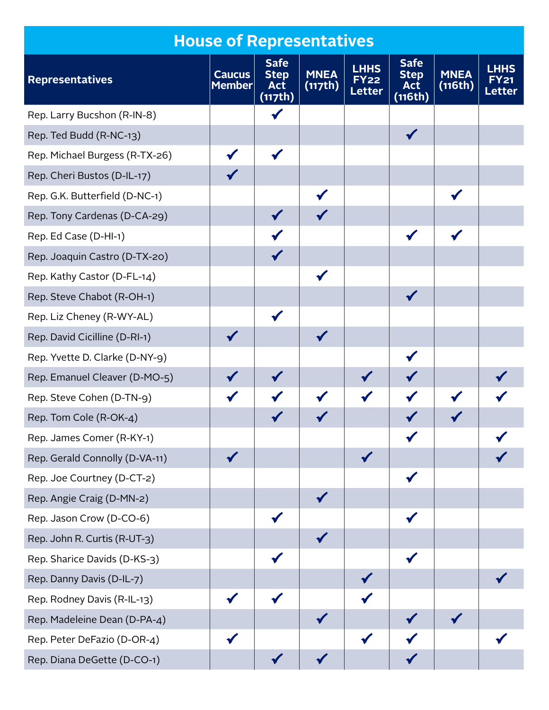|                                | <b>House of Representatives</b> |                                                     |                        |                                             |                                                     |                        |                       |
|--------------------------------|---------------------------------|-----------------------------------------------------|------------------------|---------------------------------------------|-----------------------------------------------------|------------------------|-----------------------|
| <b>Representatives</b>         | <b>Caucus</b><br><b>Member</b>  | <b>Safe</b><br><b>Step</b><br><b>Act</b><br>(117th) | <b>MNEA</b><br>(117th) | <b>LHHS</b><br><b>FY22</b><br><b>Letter</b> | <b>Safe</b><br><b>Step</b><br><b>Act</b><br>(116th) | <b>MNEA</b><br>(116th) | LHHS<br><b>Letter</b> |
| Rep. Larry Bucshon (R-IN-8)    |                                 |                                                     |                        |                                             |                                                     |                        |                       |
| Rep. Ted Budd (R-NC-13)        |                                 |                                                     |                        |                                             |                                                     |                        |                       |
| Rep. Michael Burgess (R-TX-26) |                                 |                                                     |                        |                                             |                                                     |                        |                       |
| Rep. Cheri Bustos (D-IL-17)    |                                 |                                                     |                        |                                             |                                                     |                        |                       |
| Rep. G.K. Butterfield (D-NC-1) |                                 |                                                     |                        |                                             |                                                     |                        |                       |
| Rep. Tony Cardenas (D-CA-29)   |                                 |                                                     |                        |                                             |                                                     |                        |                       |
| Rep. Ed Case (D-HI-1)          |                                 |                                                     |                        |                                             |                                                     |                        |                       |
| Rep. Joaquin Castro (D-TX-20)  |                                 |                                                     |                        |                                             |                                                     |                        |                       |
| Rep. Kathy Castor (D-FL-14)    |                                 |                                                     |                        |                                             |                                                     |                        |                       |
| Rep. Steve Chabot (R-OH-1)     |                                 |                                                     |                        |                                             |                                                     |                        |                       |
| Rep. Liz Cheney (R-WY-AL)      |                                 |                                                     |                        |                                             |                                                     |                        |                       |
| Rep. David Cicilline (D-RI-1)  |                                 |                                                     |                        |                                             |                                                     |                        |                       |
| Rep. Yvette D. Clarke (D-NY-9) |                                 |                                                     |                        |                                             |                                                     |                        |                       |
| Rep. Emanuel Cleaver (D-MO-5)  |                                 |                                                     |                        |                                             |                                                     |                        |                       |
| Rep. Steve Cohen (D-TN-9)      |                                 |                                                     |                        |                                             |                                                     |                        |                       |
| Rep. Tom Cole (R-OK-4)         |                                 |                                                     |                        |                                             |                                                     |                        |                       |
| Rep. James Comer (R-KY-1)      |                                 |                                                     |                        |                                             |                                                     |                        |                       |
| Rep. Gerald Connolly (D-VA-11) |                                 |                                                     |                        |                                             |                                                     |                        |                       |
| Rep. Joe Courtney (D-CT-2)     |                                 |                                                     |                        |                                             |                                                     |                        |                       |
| Rep. Angie Craig (D-MN-2)      |                                 |                                                     |                        |                                             |                                                     |                        |                       |
| Rep. Jason Crow (D-CO-6)       |                                 |                                                     |                        |                                             |                                                     |                        |                       |
| Rep. John R. Curtis (R-UT-3)   |                                 |                                                     |                        |                                             |                                                     |                        |                       |
| Rep. Sharice Davids (D-KS-3)   |                                 |                                                     |                        |                                             |                                                     |                        |                       |
| Rep. Danny Davis (D-IL-7)      |                                 |                                                     |                        |                                             |                                                     |                        |                       |
| Rep. Rodney Davis (R-IL-13)    |                                 |                                                     |                        |                                             |                                                     |                        |                       |
| Rep. Madeleine Dean (D-PA-4)   |                                 |                                                     |                        |                                             |                                                     |                        |                       |
| Rep. Peter DeFazio (D-OR-4)    |                                 |                                                     |                        |                                             |                                                     |                        |                       |
| Rep. Diana DeGette (D-CO-1)    |                                 |                                                     |                        |                                             |                                                     |                        |                       |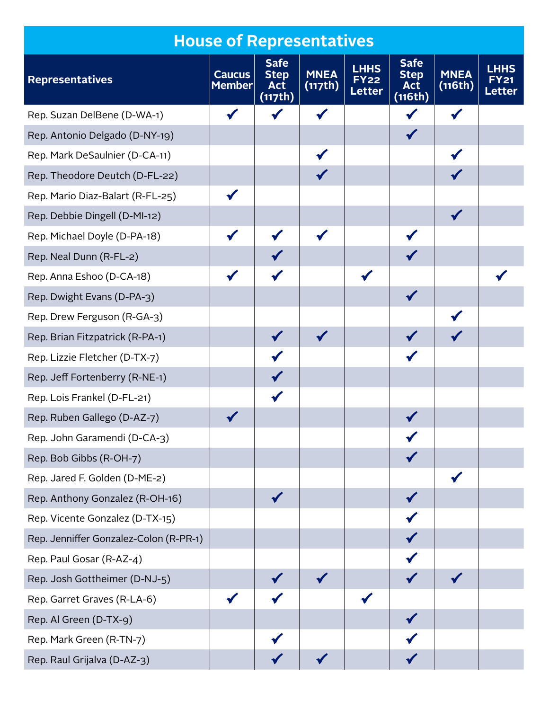|                                        | <b>House of Representatives</b> |                                                     |                        |                                             |                                                     |                        |                                       |
|----------------------------------------|---------------------------------|-----------------------------------------------------|------------------------|---------------------------------------------|-----------------------------------------------------|------------------------|---------------------------------------|
| <b>Representatives</b>                 | <b>Caucus</b><br><b>Member</b>  | <b>Safe</b><br><b>Step</b><br><b>Act</b><br>(117th) | <b>MNEA</b><br>(117th) | <b>LHHS</b><br><b>FY22</b><br><b>Letter</b> | <b>Safe</b><br><b>Step</b><br><b>Act</b><br>(116th) | <b>MNEA</b><br>(116th) | <b>LHHS</b><br>FY 21<br><b>Letter</b> |
| Rep. Suzan DelBene (D-WA-1)            |                                 |                                                     |                        |                                             |                                                     |                        |                                       |
| Rep. Antonio Delgado (D-NY-19)         |                                 |                                                     |                        |                                             |                                                     |                        |                                       |
| Rep. Mark DeSaulnier (D-CA-11)         |                                 |                                                     |                        |                                             |                                                     |                        |                                       |
| Rep. Theodore Deutch (D-FL-22)         |                                 |                                                     |                        |                                             |                                                     |                        |                                       |
| Rep. Mario Diaz-Balart (R-FL-25)       |                                 |                                                     |                        |                                             |                                                     |                        |                                       |
| Rep. Debbie Dingell (D-MI-12)          |                                 |                                                     |                        |                                             |                                                     |                        |                                       |
| Rep. Michael Doyle (D-PA-18)           |                                 |                                                     |                        |                                             |                                                     |                        |                                       |
| Rep. Neal Dunn (R-FL-2)                |                                 |                                                     |                        |                                             |                                                     |                        |                                       |
| Rep. Anna Eshoo (D-CA-18)              |                                 |                                                     |                        |                                             |                                                     |                        |                                       |
| Rep. Dwight Evans (D-PA-3)             |                                 |                                                     |                        |                                             |                                                     |                        |                                       |
| Rep. Drew Ferguson (R-GA-3)            |                                 |                                                     |                        |                                             |                                                     |                        |                                       |
| Rep. Brian Fitzpatrick (R-PA-1)        |                                 |                                                     |                        |                                             |                                                     |                        |                                       |
| Rep. Lizzie Fletcher (D-TX-7)          |                                 |                                                     |                        |                                             |                                                     |                        |                                       |
| Rep. Jeff Fortenberry (R-NE-1)         |                                 |                                                     |                        |                                             |                                                     |                        |                                       |
| Rep. Lois Frankel (D-FL-21)            |                                 |                                                     |                        |                                             |                                                     |                        |                                       |
| Rep. Ruben Gallego (D-AZ-7)            |                                 |                                                     |                        |                                             |                                                     |                        |                                       |
| Rep. John Garamendi (D-CA-3)           |                                 |                                                     |                        |                                             |                                                     |                        |                                       |
| Rep. Bob Gibbs (R-OH-7)                |                                 |                                                     |                        |                                             |                                                     |                        |                                       |
| Rep. Jared F. Golden (D-ME-2)          |                                 |                                                     |                        |                                             |                                                     |                        |                                       |
| Rep. Anthony Gonzalez (R-OH-16)        |                                 |                                                     |                        |                                             |                                                     |                        |                                       |
| Rep. Vicente Gonzalez (D-TX-15)        |                                 |                                                     |                        |                                             |                                                     |                        |                                       |
| Rep. Jenniffer Gonzalez-Colon (R-PR-1) |                                 |                                                     |                        |                                             |                                                     |                        |                                       |
| Rep. Paul Gosar (R-AZ-4)               |                                 |                                                     |                        |                                             |                                                     |                        |                                       |
| Rep. Josh Gottheimer (D-NJ-5)          |                                 |                                                     |                        |                                             |                                                     |                        |                                       |
| Rep. Garret Graves (R-LA-6)            |                                 |                                                     |                        |                                             |                                                     |                        |                                       |
| Rep. Al Green (D-TX-9)                 |                                 |                                                     |                        |                                             |                                                     |                        |                                       |
| Rep. Mark Green (R-TN-7)               |                                 |                                                     |                        |                                             |                                                     |                        |                                       |
| Rep. Raul Grijalva (D-AZ-3)            |                                 |                                                     |                        |                                             |                                                     |                        |                                       |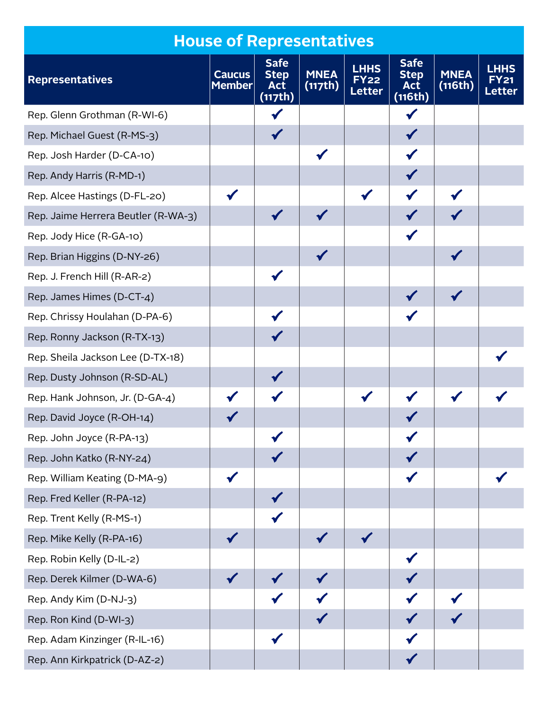|                                     | <b>House of Representatives</b> |                                                     |                        |                                      |                                                     |                        |                              |
|-------------------------------------|---------------------------------|-----------------------------------------------------|------------------------|--------------------------------------|-----------------------------------------------------|------------------------|------------------------------|
| <b>Representatives</b>              | <b>Caucus</b><br><b>Member</b>  | <b>Safe</b><br><b>Step</b><br><b>Act</b><br>(117th) | <b>MNEA</b><br>(117th) | <b>LHHS</b><br><b>FY22</b><br>Letter | <b>Safe</b><br><b>Step</b><br><b>Act</b><br>(116th) | <b>MNEA</b><br>(116th) | <b>LHHS</b><br><b>Letter</b> |
| Rep. Glenn Grothman (R-WI-6)        |                                 |                                                     |                        |                                      |                                                     |                        |                              |
| Rep. Michael Guest (R-MS-3)         |                                 |                                                     |                        |                                      |                                                     |                        |                              |
| Rep. Josh Harder (D-CA-10)          |                                 |                                                     | $\checkmark$           |                                      |                                                     |                        |                              |
| Rep. Andy Harris (R-MD-1)           |                                 |                                                     |                        |                                      |                                                     |                        |                              |
| Rep. Alcee Hastings (D-FL-20)       |                                 |                                                     |                        |                                      |                                                     |                        |                              |
| Rep. Jaime Herrera Beutler (R-WA-3) |                                 |                                                     |                        |                                      |                                                     |                        |                              |
| Rep. Jody Hice (R-GA-10)            |                                 |                                                     |                        |                                      |                                                     |                        |                              |
| Rep. Brian Higgins (D-NY-26)        |                                 |                                                     |                        |                                      |                                                     |                        |                              |
| Rep. J. French Hill (R-AR-2)        |                                 |                                                     |                        |                                      |                                                     |                        |                              |
| Rep. James Himes (D-CT-4)           |                                 |                                                     |                        |                                      |                                                     |                        |                              |
| Rep. Chrissy Houlahan (D-PA-6)      |                                 |                                                     |                        |                                      |                                                     |                        |                              |
| Rep. Ronny Jackson (R-TX-13)        |                                 |                                                     |                        |                                      |                                                     |                        |                              |
| Rep. Sheila Jackson Lee (D-TX-18)   |                                 |                                                     |                        |                                      |                                                     |                        |                              |
| Rep. Dusty Johnson (R-SD-AL)        |                                 |                                                     |                        |                                      |                                                     |                        |                              |
| Rep. Hank Johnson, Jr. (D-GA-4)     |                                 |                                                     |                        |                                      |                                                     |                        |                              |
| Rep. David Joyce (R-OH-14)          |                                 |                                                     |                        |                                      |                                                     |                        |                              |
| Rep. John Joyce (R-PA-13)           |                                 |                                                     |                        |                                      |                                                     |                        |                              |
| Rep. John Katko (R-NY-24)           |                                 |                                                     |                        |                                      |                                                     |                        |                              |
| Rep. William Keating (D-MA-9)       |                                 |                                                     |                        |                                      |                                                     |                        |                              |
| Rep. Fred Keller (R-PA-12)          |                                 |                                                     |                        |                                      |                                                     |                        |                              |
| Rep. Trent Kelly (R-MS-1)           |                                 |                                                     |                        |                                      |                                                     |                        |                              |
| Rep. Mike Kelly (R-PA-16)           |                                 |                                                     |                        |                                      |                                                     |                        |                              |
| Rep. Robin Kelly (D-IL-2)           |                                 |                                                     |                        |                                      |                                                     |                        |                              |
| Rep. Derek Kilmer (D-WA-6)          |                                 |                                                     |                        |                                      |                                                     |                        |                              |
| Rep. Andy Kim (D-NJ-3)              |                                 |                                                     |                        |                                      |                                                     |                        |                              |
| Rep. Ron Kind (D-WI-3)              |                                 |                                                     |                        |                                      |                                                     |                        |                              |
| Rep. Adam Kinzinger (R-IL-16)       |                                 |                                                     |                        |                                      |                                                     |                        |                              |
| Rep. Ann Kirkpatrick (D-AZ-2)       |                                 |                                                     |                        |                                      |                                                     |                        |                              |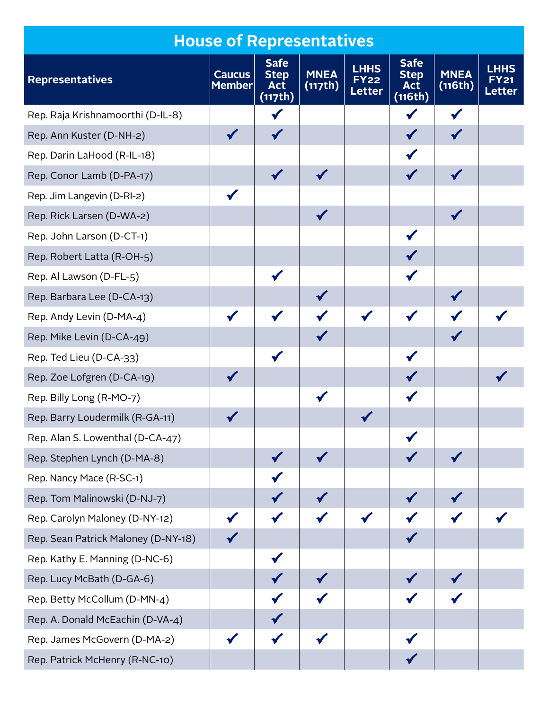|                                     | <b>House of Representatives</b> |                                                     |                        |                                             |                                                              |                        |                                       |
|-------------------------------------|---------------------------------|-----------------------------------------------------|------------------------|---------------------------------------------|--------------------------------------------------------------|------------------------|---------------------------------------|
| <b>Representatives</b>              | <b>Caucus</b><br><b>Member</b>  | <b>Safe</b><br><b>Step</b><br><b>Act</b><br>(117th) | <b>MNEA</b><br>(117th) | <b>LHHS</b><br><b>FY22</b><br><b>Letter</b> | <b>Safe</b><br><b>Step</b><br><b>Act</b><br>$\sqrt{(116th)}$ | <b>MNEA</b><br>(116th) | <b>LHHS</b><br>EY 21<br><b>Letter</b> |
| Rep. Raja Krishnamoorthi (D-IL-8)   |                                 |                                                     |                        |                                             |                                                              |                        |                                       |
| Rep. Ann Kuster (D-NH-2)            |                                 |                                                     |                        |                                             |                                                              |                        |                                       |
| Rep. Darin LaHood (R-IL-18)         |                                 |                                                     |                        |                                             |                                                              |                        |                                       |
| Rep. Conor Lamb (D-PA-17)           |                                 |                                                     |                        |                                             |                                                              |                        |                                       |
| Rep. Jim Langevin (D-RI-2)          |                                 |                                                     |                        |                                             |                                                              |                        |                                       |
| Rep. Rick Larsen (D-WA-2)           |                                 |                                                     |                        |                                             |                                                              |                        |                                       |
| Rep. John Larson (D-CT-1)           |                                 |                                                     |                        |                                             |                                                              |                        |                                       |
| Rep. Robert Latta (R-OH-5)          |                                 |                                                     |                        |                                             |                                                              |                        |                                       |
| Rep. Al Lawson (D-FL-5)             |                                 |                                                     |                        |                                             |                                                              |                        |                                       |
| Rep. Barbara Lee (D-CA-13)          |                                 |                                                     |                        |                                             |                                                              |                        |                                       |
| Rep. Andy Levin (D-MA-4)            |                                 |                                                     |                        |                                             |                                                              |                        |                                       |
| Rep. Mike Levin (D-CA-49)           |                                 |                                                     |                        |                                             |                                                              |                        |                                       |
| Rep. Ted Lieu (D-CA-33)             |                                 |                                                     |                        |                                             |                                                              |                        |                                       |
| Rep. Zoe Lofgren (D-CA-19)          |                                 |                                                     |                        |                                             |                                                              |                        |                                       |
| Rep. Billy Long (R-MO-7)            |                                 |                                                     |                        |                                             |                                                              |                        |                                       |
| Rep. Barry Loudermilk (R-GA-11)     |                                 |                                                     |                        |                                             |                                                              |                        |                                       |
| Rep. Alan S. Lowenthal (D-CA-47)    |                                 |                                                     |                        |                                             |                                                              |                        |                                       |
| Rep. Stephen Lynch (D-MA-8)         |                                 |                                                     |                        |                                             |                                                              |                        |                                       |
| Rep. Nancy Mace (R-SC-1)            |                                 |                                                     |                        |                                             |                                                              |                        |                                       |
| Rep. Tom Malinowski (D-NJ-7)        |                                 |                                                     |                        |                                             |                                                              |                        |                                       |
| Rep. Carolyn Maloney (D-NY-12)      |                                 |                                                     |                        |                                             |                                                              |                        |                                       |
| Rep. Sean Patrick Maloney (D-NY-18) |                                 |                                                     |                        |                                             |                                                              |                        |                                       |
| Rep. Kathy E. Manning (D-NC-6)      |                                 |                                                     |                        |                                             |                                                              |                        |                                       |
| Rep. Lucy McBath (D-GA-6)           |                                 |                                                     |                        |                                             |                                                              |                        |                                       |
| Rep. Betty McCollum (D-MN-4)        |                                 |                                                     |                        |                                             |                                                              |                        |                                       |
| Rep. A. Donald McEachin (D-VA-4)    |                                 |                                                     |                        |                                             |                                                              |                        |                                       |
| Rep. James McGovern (D-MA-2)        |                                 |                                                     |                        |                                             |                                                              |                        |                                       |
| Rep. Patrick McHenry (R-NC-10)      |                                 |                                                     |                        |                                             |                                                              |                        |                                       |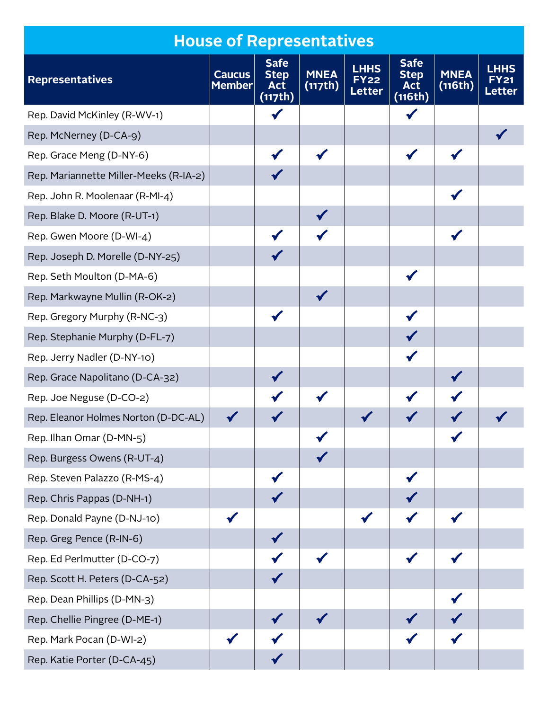|                                        | <b>House of Representatives</b> |                                                     |                        |                                             |                                                     |                        |                                       |
|----------------------------------------|---------------------------------|-----------------------------------------------------|------------------------|---------------------------------------------|-----------------------------------------------------|------------------------|---------------------------------------|
| <b>Representatives</b>                 | <b>Caucus</b><br><b>Member</b>  | <b>Safe</b><br><b>Step</b><br><b>Act</b><br>(117th) | <b>MNEA</b><br>(117th) | <b>LHHS</b><br><b>FY22</b><br><b>Letter</b> | <b>Safe</b><br><b>Step</b><br><b>Act</b><br>(116th) | <b>MNEA</b><br>(116th) | <b>LHHS</b><br>FY 21<br><b>Letter</b> |
| Rep. David McKinley (R-WV-1)           |                                 |                                                     |                        |                                             |                                                     |                        |                                       |
| Rep. McNerney (D-CA-9)                 |                                 |                                                     |                        |                                             |                                                     |                        |                                       |
| Rep. Grace Meng (D-NY-6)               |                                 |                                                     |                        |                                             |                                                     |                        |                                       |
| Rep. Mariannette Miller-Meeks (R-IA-2) |                                 |                                                     |                        |                                             |                                                     |                        |                                       |
| Rep. John R. Moolenaar (R-MI-4)        |                                 |                                                     |                        |                                             |                                                     |                        |                                       |
| Rep. Blake D. Moore (R-UT-1)           |                                 |                                                     |                        |                                             |                                                     |                        |                                       |
| Rep. Gwen Moore (D-WI-4)               |                                 |                                                     |                        |                                             |                                                     |                        |                                       |
| Rep. Joseph D. Morelle (D-NY-25)       |                                 |                                                     |                        |                                             |                                                     |                        |                                       |
| Rep. Seth Moulton (D-MA-6)             |                                 |                                                     |                        |                                             |                                                     |                        |                                       |
| Rep. Markwayne Mullin (R-OK-2)         |                                 |                                                     |                        |                                             |                                                     |                        |                                       |
| Rep. Gregory Murphy (R-NC-3)           |                                 |                                                     |                        |                                             |                                                     |                        |                                       |
| Rep. Stephanie Murphy (D-FL-7)         |                                 |                                                     |                        |                                             |                                                     |                        |                                       |
| Rep. Jerry Nadler (D-NY-10)            |                                 |                                                     |                        |                                             |                                                     |                        |                                       |
| Rep. Grace Napolitano (D-CA-32)        |                                 |                                                     |                        |                                             |                                                     |                        |                                       |
| Rep. Joe Neguse (D-CO-2)               |                                 |                                                     |                        |                                             |                                                     |                        |                                       |
| Rep. Eleanor Holmes Norton (D-DC-AL)   |                                 |                                                     |                        |                                             |                                                     |                        |                                       |
| Rep. Ilhan Omar (D-MN-5)               |                                 |                                                     |                        |                                             |                                                     |                        |                                       |
| Rep. Burgess Owens (R-UT-4)            |                                 |                                                     |                        |                                             |                                                     |                        |                                       |
| Rep. Steven Palazzo (R-MS-4)           |                                 |                                                     |                        |                                             |                                                     |                        |                                       |
| Rep. Chris Pappas (D-NH-1)             |                                 |                                                     |                        |                                             |                                                     |                        |                                       |
| Rep. Donald Payne (D-NJ-10)            |                                 |                                                     |                        |                                             |                                                     |                        |                                       |
| Rep. Greg Pence (R-IN-6)               |                                 |                                                     |                        |                                             |                                                     |                        |                                       |
| Rep. Ed Perlmutter (D-CO-7)            |                                 |                                                     |                        |                                             |                                                     |                        |                                       |
| Rep. Scott H. Peters (D-CA-52)         |                                 |                                                     |                        |                                             |                                                     |                        |                                       |
| Rep. Dean Phillips (D-MN-3)            |                                 |                                                     |                        |                                             |                                                     |                        |                                       |
| Rep. Chellie Pingree (D-ME-1)          |                                 |                                                     |                        |                                             |                                                     |                        |                                       |
| Rep. Mark Pocan (D-WI-2)               |                                 |                                                     |                        |                                             |                                                     |                        |                                       |
| Rep. Katie Porter (D-CA-45)            |                                 |                                                     |                        |                                             |                                                     |                        |                                       |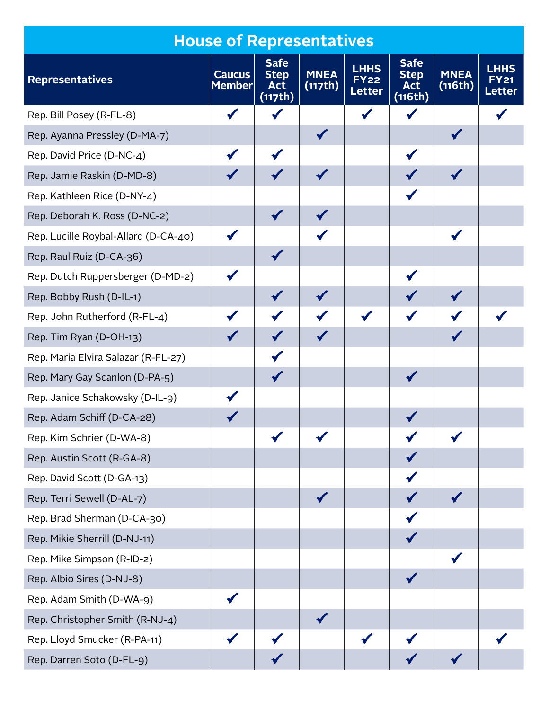|                                      | <b>House of Representatives</b> |                                                     |                        |                                             |                                                     |                        |                                       |
|--------------------------------------|---------------------------------|-----------------------------------------------------|------------------------|---------------------------------------------|-----------------------------------------------------|------------------------|---------------------------------------|
| <b>Representatives</b>               | <b>Caucus</b><br>Member         | <b>Safe</b><br><b>Step</b><br><b>Act</b><br>(117th) | <b>MNEA</b><br>(117th) | <b>LHHS</b><br><b>FY22</b><br><b>Letter</b> | <b>Safe</b><br><b>Step</b><br><b>Act</b><br>(116th) | <b>MNEA</b><br>(116th) | <b>LHHS</b><br>FY 21<br><b>Letter</b> |
| Rep. Bill Posey (R-FL-8)             |                                 |                                                     |                        |                                             |                                                     |                        |                                       |
| Rep. Ayanna Pressley (D-MA-7)        |                                 |                                                     |                        |                                             |                                                     |                        |                                       |
| Rep. David Price (D-NC-4)            |                                 |                                                     |                        |                                             |                                                     |                        |                                       |
| Rep. Jamie Raskin (D-MD-8)           |                                 |                                                     |                        |                                             |                                                     |                        |                                       |
| Rep. Kathleen Rice (D-NY-4)          |                                 |                                                     |                        |                                             |                                                     |                        |                                       |
| Rep. Deborah K. Ross (D-NC-2)        |                                 |                                                     |                        |                                             |                                                     |                        |                                       |
| Rep. Lucille Roybal-Allard (D-CA-40) |                                 |                                                     |                        |                                             |                                                     |                        |                                       |
| Rep. Raul Ruiz (D-CA-36)             |                                 |                                                     |                        |                                             |                                                     |                        |                                       |
| Rep. Dutch Ruppersberger (D-MD-2)    |                                 |                                                     |                        |                                             |                                                     |                        |                                       |
| Rep. Bobby Rush (D-IL-1)             |                                 |                                                     |                        |                                             |                                                     |                        |                                       |
| Rep. John Rutherford (R-FL-4)        |                                 |                                                     |                        |                                             |                                                     |                        |                                       |
| Rep. Tim Ryan (D-OH-13)              |                                 |                                                     |                        |                                             |                                                     |                        |                                       |
| Rep. Maria Elvira Salazar (R-FL-27)  |                                 |                                                     |                        |                                             |                                                     |                        |                                       |
| Rep. Mary Gay Scanlon (D-PA-5)       |                                 |                                                     |                        |                                             |                                                     |                        |                                       |
| Rep. Janice Schakowsky (D-IL-9)      |                                 |                                                     |                        |                                             |                                                     |                        |                                       |
| Rep. Adam Schiff (D-CA-28)           |                                 |                                                     |                        |                                             |                                                     |                        |                                       |
| Rep. Kim Schrier (D-WA-8)            |                                 |                                                     |                        |                                             |                                                     |                        |                                       |
| Rep. Austin Scott (R-GA-8)           |                                 |                                                     |                        |                                             |                                                     |                        |                                       |
| Rep. David Scott (D-GA-13)           |                                 |                                                     |                        |                                             |                                                     |                        |                                       |
| Rep. Terri Sewell (D-AL-7)           |                                 |                                                     |                        |                                             |                                                     |                        |                                       |
| Rep. Brad Sherman (D-CA-30)          |                                 |                                                     |                        |                                             |                                                     |                        |                                       |
| Rep. Mikie Sherrill (D-NJ-11)        |                                 |                                                     |                        |                                             |                                                     |                        |                                       |
| Rep. Mike Simpson (R-ID-2)           |                                 |                                                     |                        |                                             |                                                     |                        |                                       |
| Rep. Albio Sires (D-NJ-8)            |                                 |                                                     |                        |                                             |                                                     |                        |                                       |
| Rep. Adam Smith (D-WA-9)             |                                 |                                                     |                        |                                             |                                                     |                        |                                       |
| Rep. Christopher Smith (R-NJ-4)      |                                 |                                                     |                        |                                             |                                                     |                        |                                       |
| Rep. Lloyd Smucker (R-PA-11)         |                                 |                                                     |                        |                                             |                                                     |                        |                                       |
| Rep. Darren Soto (D-FL-9)            |                                 |                                                     |                        |                                             |                                                     |                        |                                       |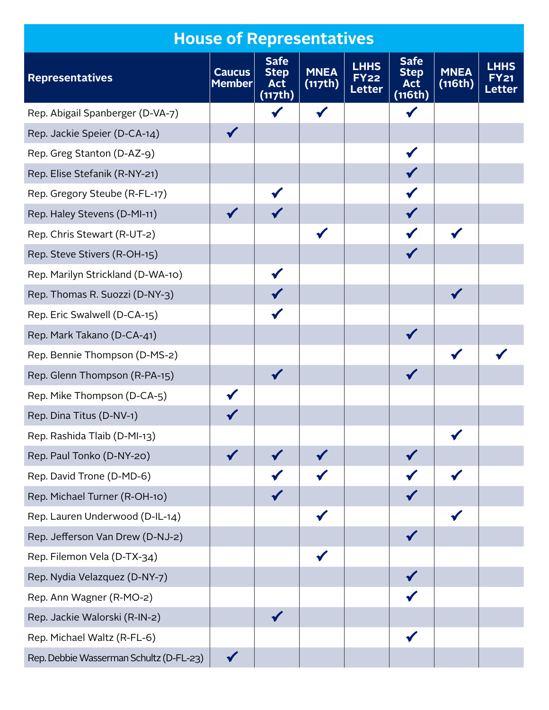|                                         | <b>House of Representatives</b> |                                                     |                        |                                             |                                                     |                        |                                       |
|-----------------------------------------|---------------------------------|-----------------------------------------------------|------------------------|---------------------------------------------|-----------------------------------------------------|------------------------|---------------------------------------|
| <b>Representatives</b>                  | <b>Caucus</b><br><b>Member</b>  | <b>Safe</b><br><b>Step</b><br><b>Act</b><br>(117th) | <b>MNEA</b><br>(117th) | <b>LHHS</b><br><b>FY22</b><br><b>Letter</b> | <b>Safe</b><br><b>Step</b><br><b>Act</b><br>(116th) | <b>MNEA</b><br>(116th) | <b>LHHS</b><br>FY 21<br><b>Letter</b> |
| Rep. Abigail Spanberger (D-VA-7)        |                                 |                                                     |                        |                                             |                                                     |                        |                                       |
| Rep. Jackie Speier (D-CA-14)            |                                 |                                                     |                        |                                             |                                                     |                        |                                       |
| Rep. Greg Stanton (D-AZ-9)              |                                 |                                                     |                        |                                             |                                                     |                        |                                       |
| Rep. Elise Stefanik (R-NY-21)           |                                 |                                                     |                        |                                             |                                                     |                        |                                       |
| Rep. Gregory Steube (R-FL-17)           |                                 |                                                     |                        |                                             |                                                     |                        |                                       |
| Rep. Haley Stevens (D-MI-11)            |                                 |                                                     |                        |                                             |                                                     |                        |                                       |
| Rep. Chris Stewart (R-UT-2)             |                                 |                                                     |                        |                                             |                                                     |                        |                                       |
| Rep. Steve Stivers (R-OH-15)            |                                 |                                                     |                        |                                             |                                                     |                        |                                       |
| Rep. Marilyn Strickland (D-WA-10)       |                                 |                                                     |                        |                                             |                                                     |                        |                                       |
| Rep. Thomas R. Suozzi (D-NY-3)          |                                 |                                                     |                        |                                             |                                                     |                        |                                       |
| Rep. Eric Swalwell (D-CA-15)            |                                 |                                                     |                        |                                             |                                                     |                        |                                       |
| Rep. Mark Takano (D-CA-41)              |                                 |                                                     |                        |                                             |                                                     |                        |                                       |
| Rep. Bennie Thompson (D-MS-2)           |                                 |                                                     |                        |                                             |                                                     |                        |                                       |
| Rep. Glenn Thompson (R-PA-15)           |                                 |                                                     |                        |                                             |                                                     |                        |                                       |
| Rep. Mike Thompson (D-CA-5)             |                                 |                                                     |                        |                                             |                                                     |                        |                                       |
| Rep. Dina Titus (D-NV-1)                |                                 |                                                     |                        |                                             |                                                     |                        |                                       |
| Rep. Rashida Tlaib (D-MI-13)            |                                 |                                                     |                        |                                             |                                                     |                        |                                       |
| Rep. Paul Tonko (D-NY-20)               |                                 |                                                     |                        |                                             |                                                     |                        |                                       |
| Rep. David Trone (D-MD-6)               |                                 |                                                     |                        |                                             |                                                     |                        |                                       |
| Rep. Michael Turner (R-OH-10)           |                                 |                                                     |                        |                                             |                                                     |                        |                                       |
| Rep. Lauren Underwood (D-IL-14)         |                                 |                                                     |                        |                                             |                                                     |                        |                                       |
| Rep. Jefferson Van Drew (D-NJ-2)        |                                 |                                                     |                        |                                             |                                                     |                        |                                       |
| Rep. Filemon Vela (D-TX-34)             |                                 |                                                     |                        |                                             |                                                     |                        |                                       |
| Rep. Nydia Velazquez (D-NY-7)           |                                 |                                                     |                        |                                             |                                                     |                        |                                       |
| Rep. Ann Wagner (R-MO-2)                |                                 |                                                     |                        |                                             |                                                     |                        |                                       |
| Rep. Jackie Walorski (R-IN-2)           |                                 |                                                     |                        |                                             |                                                     |                        |                                       |
| Rep. Michael Waltz (R-FL-6)             |                                 |                                                     |                        |                                             |                                                     |                        |                                       |
| Rep. Debbie Wasserman Schultz (D-FL-23) |                                 |                                                     |                        |                                             |                                                     |                        |                                       |